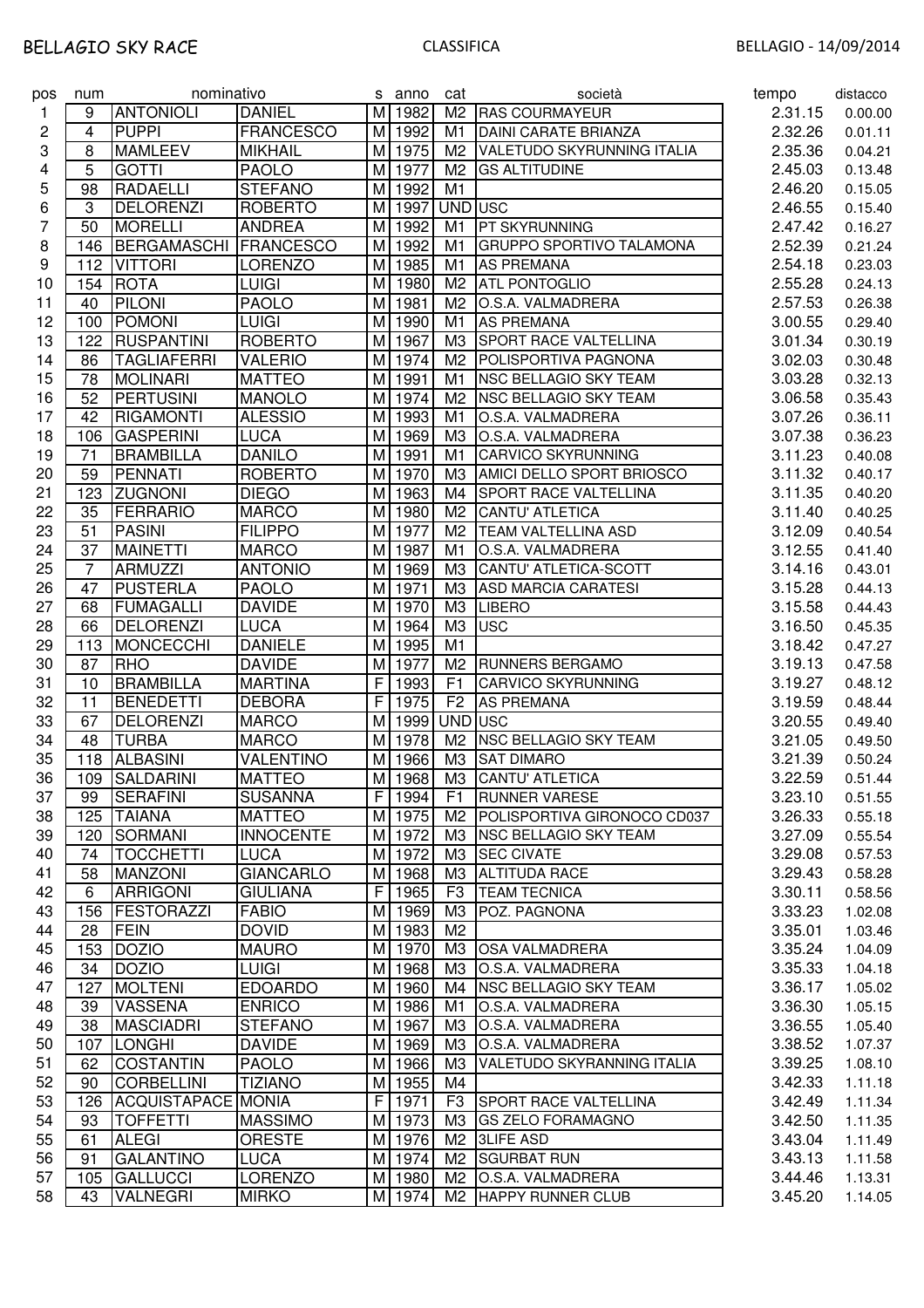| pos | num | nominativo         |                  |    | s anno              | cat            | società                          | tempo   | distacco |
|-----|-----|--------------------|------------------|----|---------------------|----------------|----------------------------------|---------|----------|
| 1   | 9   | <b>ANTONIOLI</b>   | <b>DANIEL</b>    |    | M 1982              | M <sub>2</sub> | <b>RAS COURMAYEUR</b>            | 2.31.15 | 0.00.00  |
| 2   | 4   | <b>PUPPI</b>       | <b>FRANCESCO</b> |    | M 1992              | M1             | <b>DAINI CARATE BRIANZA</b>      | 2.32.26 | 0.01.11  |
| 3   | 8   | <b>MAMLEEV</b>     | <b>MIKHAIL</b>   |    | M 1975              | M <sub>2</sub> | VALETUDO SKYRUNNING ITALIA       | 2.35.36 | 0.04.21  |
| 4   | 5   | <b>GOTTI</b>       | <b>PAOLO</b>     | мı | 1977                | M <sub>2</sub> | <b>GS ALTITUDINE</b>             | 2.45.03 | 0.13.48  |
| 5   | 98  | RADAELLI           | <b>STEFANO</b>   | M  | 1992                | M1             |                                  | 2.46.20 | 0.15.05  |
| 6   | 3   | <b>DELORENZI</b>   | <b>ROBERTO</b>   | M  | 1997                | UND USC        |                                  | 2.46.55 | 0.15.40  |
| 7   | 50  | <b>MORELLI</b>     | <b>ANDREA</b>    | M  | 1992                | M1             | PT SKYRUNNING                    | 2.47.42 | 0.16.27  |
| 8   | 146 | BERGAMASCHI        | <b>FRANCESCO</b> | M  | 1992                | M1             | <b>GRUPPO SPORTIVO TALAMONA</b>  | 2.52.39 | 0.21.24  |
| 9   | 112 | <b>VITTORI</b>     | <b>LORENZO</b>   | M  | 1985                | M1             | <b>AS PREMANA</b>                | 2.54.18 | 0.23.03  |
| 10  | 154 | <b>ROTA</b>        | <b>LUIGI</b>     | M  | 1980                | M <sub>2</sub> | <b>ATL PONTOGLIO</b>             | 2.55.28 | 0.24.13  |
| 11  | 40  | <b>PILONI</b>      | <b>PAOLO</b>     |    | M 1981              | M <sub>2</sub> | O.S.A. VALMADRERA                | 2.57.53 | 0.26.38  |
| 12  | 100 | POMONI             | <b>LUIGI</b>     |    | M 1990              | M <sub>1</sub> | <b>AS PREMANA</b>                | 3.00.55 | 0.29.40  |
| 13  | 122 | <b>RUSPANTINI</b>  | <b>ROBERTO</b>   |    | M 1967              | M <sub>3</sub> | <b>SPORT RACE VALTELLINA</b>     | 3.01.34 | 0.30.19  |
| 14  | 86  | <b>TAGLIAFERRI</b> | <b>VALERIO</b>   |    | M 1974              | M <sub>2</sub> | POLISPORTIVA PAGNONA             | 3.02.03 | 0.30.48  |
| 15  | 78  | <b>MOLINARI</b>    | <b>MATTEO</b>    |    | M 1991              | M1             | <b>NSC BELLAGIO SKY TEAM</b>     | 3.03.28 | 0.32.13  |
| 16  | 52  | PERTUSINI          | <b>MANOLO</b>    |    | M 1974              | M <sub>2</sub> | <b>NSC BELLAGIO SKY TEAM</b>     | 3.06.58 | 0.35.43  |
| 17  | 42  | <b>RIGAMONTI</b>   | <b>ALESSIO</b>   |    | M 1993              | M1             | O.S.A. VALMADRERA                | 3.07.26 | 0.36.11  |
| 18  | 106 | <b>GASPERINI</b>   | <b>LUCA</b>      |    | M 1969              | M <sub>3</sub> | O.S.A. VALMADRERA                | 3.07.38 | 0.36.23  |
| 19  | 71  | <b>BRAMBILLA</b>   | <b>DANILO</b>    |    | M 1991              | M1             | <b>CARVICO SKYRUNNING</b>        | 3.11.23 | 0.40.08  |
| 20  | 59  | PENNATI            | <b>ROBERTO</b>   |    | M 1970              | MЗ             | <b>AMICI DELLO SPORT BRIOSCO</b> | 3.11.32 | 0.40.17  |
| 21  | 123 | <b>ZUGNONI</b>     | <b>DIEGO</b>     | M  | 1963                | M4             | <b>SPORT RACE VALTELLINA</b>     | 3.11.35 | 0.40.20  |
| 22  | 35  | FERRARIO           | <b>MARCO</b>     | M  | 1980                | M2             | CANTU' ATLETICA                  | 3.11.40 | 0.40.25  |
| 23  | 51  | <b>PASINI</b>      | <b>FILIPPO</b>   |    | M 1977              | M <sub>2</sub> | TEAM VALTELLINA ASD              | 3.12.09 | 0.40.54  |
| 24  | 37  | <b>MAINETTI</b>    | <b>MARCO</b>     |    | M 1987              | M1             | O.S.A. VALMADRERA                | 3.12.55 | 0.41.40  |
| 25  | 7   | <b>ARMUZZI</b>     | <b>ANTONIO</b>   | M  | 1969                | M <sub>3</sub> | CANTU' ATLETICA-SCOTT            | 3.14.16 | 0.43.01  |
| 26  | 47  | <b>PUSTERLA</b>    | <b>PAOLO</b>     | M  | 1971                | M <sub>3</sub> | <b>ASD MARCIA CARATESI</b>       | 3.15.28 | 0.44.13  |
| 27  | 68  | <b>FUMAGALLI</b>   | <b>DAVIDE</b>    | M  | 1970                | M <sub>3</sub> | <b>LIBERO</b>                    | 3.15.58 | 0.44.43  |
| 28  | 66  | <b>DELORENZI</b>   | <b>LUCA</b>      | M  | 1964                | M <sub>3</sub> | <b>USC</b>                       | 3.16.50 | 0.45.35  |
| 29  | 113 | MONCECCHI          | <b>DANIELE</b>   | мI | 1995                | M1             |                                  | 3.18.42 | 0.47.27  |
| 30  | 87  | <b>RHO</b>         | <b>DAVIDE</b>    | M  | 1977                | M <sub>2</sub> | <b>RUNNERS BERGAMO</b>           | 3.19.13 | 0.47.58  |
| 31  | 10  | <b>BRAMBILLA</b>   | <b>MARTINA</b>   | F  | 1993                | F <sub>1</sub> | <b>CARVICO SKYRUNNING</b>        | 3.19.27 | 0.48.12  |
| 32  | 11  | <b>BENEDETTI</b>   | <b>DEBORA</b>    | F  | 1975                | F <sub>2</sub> | <b>AS PREMANA</b>                | 3.19.59 | 0.48.44  |
| 33  | 67  | <b>DELORENZI</b>   | <b>MARCO</b>     | мı | 1999                | UND USC        |                                  | 3.20.55 | 0.49.40  |
| 34  | 48  | <b>TURBA</b>       | <b>MARCO</b>     | мI | 1978                | M <sub>2</sub> | <b>NSC BELLAGIO SKY TEAM</b>     | 3.21.05 | 0.49.50  |
| 35  | 118 | <b>ALBASINI</b>    | <b>VALENTINO</b> |    | M 1966              | M <sub>3</sub> | <b>SAT DIMARO</b>                | 3.21.39 | 0.50.24  |
| 36  |     | 109 SALDARINI      | <b>MATTEO</b>    |    | M 1968              |                | M3 CANTU' ATLETICA               | 3.22.59 | 0.51.44  |
| 37  | 99  | <b>SERAFINI</b>    | <b>SUSANNA</b>   |    | F 1994              | F <sub>1</sub> | <b>RUNNER VARESE</b>             | 3.23.10 | 0.51.55  |
| 38  | 125 | <b>TAIANA</b>      | <b>MATTEO</b>    |    | M 1975              | M2             | POLISPORTIVA GIRONOCO CD037      | 3.26.33 | 0.55.18  |
| 39  | 120 | SORMANI            | <b>INNOCENTE</b> |    | M 1972              |                | M3 NSC BELLAGIO SKY TEAM         | 3.27.09 | 0.55.54  |
| 40  | 74  | <b>TOCCHETTI</b>   | <b>LUCA</b>      |    | M 1972              | ΜЗ             | <b>SEC CIVATE</b>                | 3.29.08 | 0.57.53  |
| 41  | 58  | <b>MANZONI</b>     | <b>GIANCARLO</b> |    | M 1968              | ΜЗ             | <b>ALTITUDA RACE</b>             | 3.29.43 | 0.58.28  |
| 42  | 6   | <b>ARRIGONI</b>    | <b>GIULIANA</b>  |    | $\overline{F}$ 1965 | F <sub>3</sub> | <b>TEAM TECNICA</b>              | 3.30.11 | 0.58.56  |
| 43  | 156 | FESTORAZZI         | <b>FABIO</b>     |    | M 1969              | ΜЗ             | POZ. PAGNONA                     | 3.33.23 | 1.02.08  |
| 44  | 28  | <b>FEIN</b>        | <b>DOVID</b>     |    | M 1983              | M <sub>2</sub> |                                  | 3.35.01 | 1.03.46  |
| 45  | 153 | DOZIO              | <b>MAURO</b>     |    | M 1970              | ΜЗ             | <b>OSA VALMADRERA</b>            | 3.35.24 | 1.04.09  |
| 46  | 34  | <b>DOZIO</b>       | <b>LUIGI</b>     |    | M 1968              | МЗ             | O.S.A. VALMADRERA                | 3.35.33 | 1.04.18  |
| 47  | 127 | <b>MOLTENI</b>     | <b>EDOARDO</b>   |    | M 1960              |                | M4 NSC BELLAGIO SKY TEAM         | 3.36.17 | 1.05.02  |
| 48  | 39  | <b>VASSENA</b>     | <b>ENRICO</b>    |    | M 1986              | M1             | O.S.A. VALMADRERA                | 3.36.30 | 1.05.15  |
| 49  | 38  | <b>MASCIADRI</b>   | <b>STEFANO</b>   |    | M 1967              | ΜЗ             | O.S.A. VALMADRERA                | 3.36.55 | 1.05.40  |
| 50  | 107 | LONGHI             | <b>DAVIDE</b>    |    | M 1969              | ΜЗ             | O.S.A. VALMADRERA                | 3.38.52 | 1.07.37  |
| 51  | 62  | <b>COSTANTIN</b>   | <b>PAOLO</b>     |    | M 1966              | MЗ             | VALETUDO SKYRANNING ITALIA       | 3.39.25 | 1.08.10  |
| 52  | 90  | <b>CORBELLINI</b>  | <b>TIZIANO</b>   |    | M 1955              | M4             |                                  | 3.42.33 | 1.11.18  |
| 53  | 126 | ACQUISTAPACE MONIA |                  |    | F 1971              | F <sub>3</sub> | <b>SPORT RACE VALTELLINA</b>     | 3.42.49 | 1.11.34  |
| 54  | 93  | <b>TOFFETTI</b>    | <b>MASSIMO</b>   |    | M 1973              | M <sub>3</sub> | <b>GS ZELO FORAMAGNO</b>         | 3.42.50 | 1.11.35  |
| 55  | 61  | <b>ALEGI</b>       | <b>ORESTE</b>    |    | M 1976              | M <sub>2</sub> | <b>3LIFE ASD</b>                 | 3.43.04 | 1.11.49  |
| 56  | 91  | <b>GALANTINO</b>   | <b>LUCA</b>      |    | M 1974              | M2             | <b>SGURBAT RUN</b>               | 3.43.13 | 1.11.58  |
| 57  | 105 | GALLUCCI           | <b>LORENZO</b>   |    | M 1980              | M2             | O.S.A. VALMADRERA                | 3.44.46 | 1.13.31  |
| 58  | 43  | <b>VALNEGRI</b>    | <b>MIRKO</b>     |    | M 1974              |                | M2 HAPPY RUNNER CLUB             | 3.45.20 | 1.14.05  |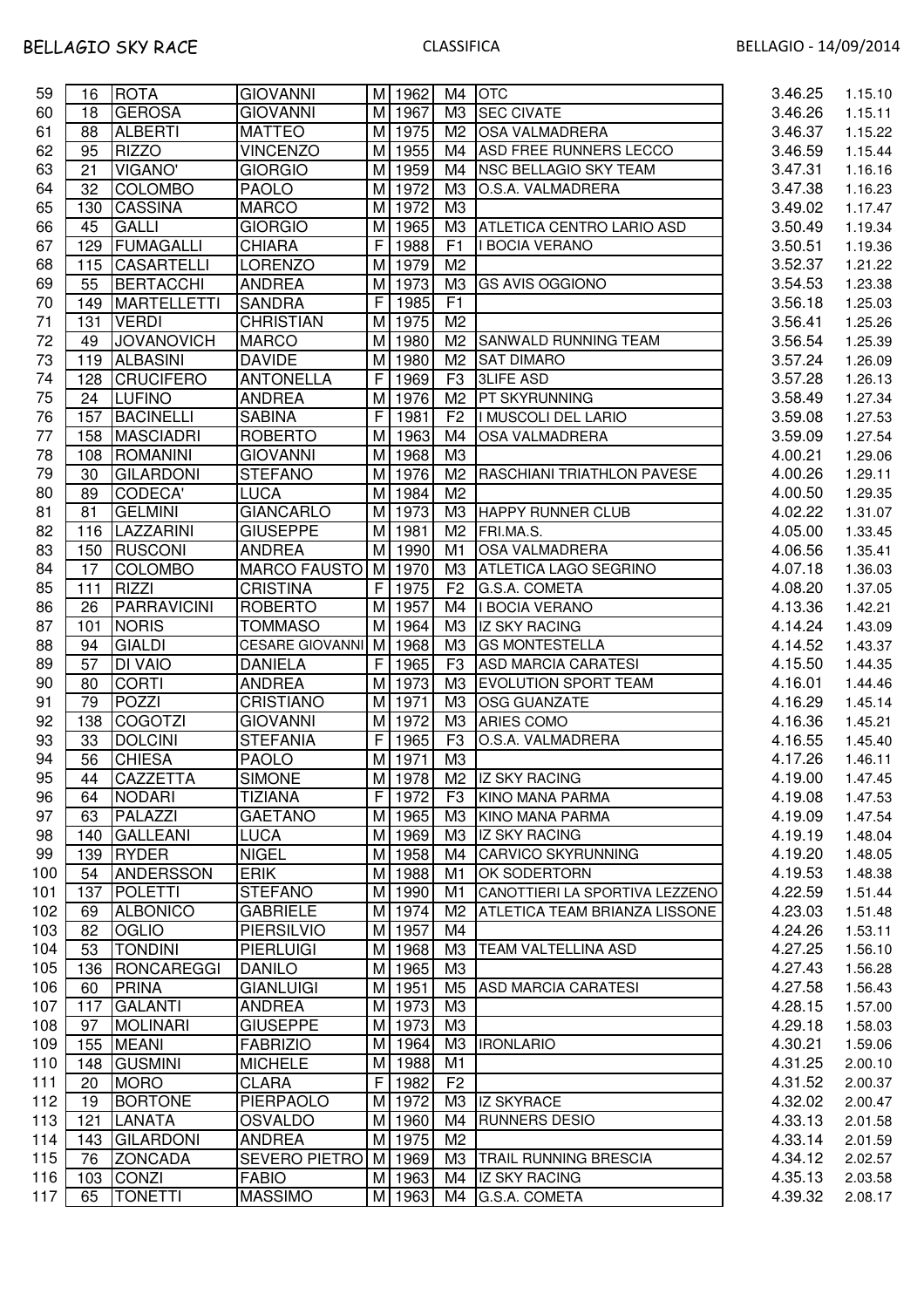| 3.46.26<br>60<br><b>GEROSA</b><br><b>GIOVANNI</b><br>M 1967<br>M3 SEC CIVATE<br>18<br><b>ALBERTI</b><br><b>MATTEO</b><br>M 1975<br>M2 OSA VALMADRERA<br>3.46.37<br>61<br>88<br><b>RIZZO</b><br>62<br><b>VINCENZO</b><br>M 1955<br>ASD FREE RUNNERS LECCO<br>3.46.59<br>95<br>M4<br>63<br><b>VIGANO'</b><br>M 1959<br>21<br><b>GIORGIO</b><br>M4<br><b>INSC BELLAGIO SKY TEAM</b><br>3.47.31<br><b>COLOMBO</b><br>M 1972<br>64<br>32<br><b>PAOLO</b><br>M <sub>3</sub><br>O.S.A. VALMADRERA<br>3.47.38<br>65<br>M 1972<br>M <sub>3</sub><br>3.49.02<br><b>CASSINA</b><br><b>MARCO</b><br>130<br>66<br><b>GALLI</b><br><b>GIORGIO</b><br>M<br>1965<br>ΜЗ<br>45<br><b>ATLETICA CENTRO LARIO ASD</b><br>3.50.49<br>1988<br>F1<br>67<br>FUMAGALLI<br><b>CHIARA</b><br>F<br>3.50.51<br>129<br><b>I BOCIA VERANO</b><br>M 1979<br>M <sub>2</sub><br>3.52.37<br>68<br><b>CASARTELLI</b><br><b>LORENZO</b><br>115<br>M <sub>3</sub><br>69<br>55<br><b>BERTACCHI</b><br><b>ANDREA</b><br>M 1973<br>3.54.53<br><b>GS AVIS OGGIONO</b><br>1985<br>F1<br>70<br><b>MARTELLETTI</b><br><b>SANDRA</b><br>F<br>3.56.18<br>149<br>M 1975<br>3.56.41<br>71<br><b>VERDI</b><br><b>CHRISTIAN</b><br>M <sub>2</sub><br>131<br>72<br><b>JOVANOVICH</b><br>M 1980<br>M <sub>2</sub><br><b>MARCO</b><br><b>SANWALD RUNNING TEAM</b><br>3.56.54<br>49<br>73<br><b>ALBASINI</b><br>3.57.24<br>119<br><b>DAVIDE</b><br>M<br>1980<br>M2<br><b>SAT DIMARO</b><br>74<br><b>CRUCIFERO</b><br><b>ANTONELLA</b><br>1969<br>F <sub>3</sub><br><b>3LIFE ASD</b><br>3.57.28<br>128<br>F.<br>75<br><b>ANDREA</b><br>M 1976<br>M2   PT SKYRUNNING<br><b>LUFINO</b><br>3.58.49<br>24<br><b>BACINELLI</b><br>1981<br>F <sub>2</sub><br>I MUSCOLI DEL LARIO<br>76<br>157<br><b>SABINA</b><br>F<br>3.59.08<br>M 1963<br>77<br><b>MASCIADRI</b><br><b>ROBERTO</b><br>M4<br><b>OSA VALMADRERA</b><br>3.59.09<br>158<br>ROMANINI<br><b>GIOVANNI</b><br>M 1968<br>M <sub>3</sub><br>78<br>108<br>4.00.21<br>79<br>M 1976<br>RASCHIANI TRIATHLON PAVESE<br><b>GILARDONI</b><br><b>STEFANO</b><br>M <sub>2</sub><br>4.00.26<br>30<br>80<br>CODECA'<br><b>LUCA</b><br>M 1984<br>M <sub>2</sub><br>4.00.50<br>89<br><b>GIANCARLO</b><br>M 1973<br><b>GELMINI</b><br>ΜЗ<br><b>HAPPY RUNNER CLUB</b><br>81<br>81<br>4.02.22<br><b>GIUSEPPE</b><br>M 1981<br>82<br>LAZZARINI<br>M <sub>2</sub><br>FRI.MA.S.<br>4.05.00<br>116<br>M 1990<br>83<br><b>RUSCONI</b><br><b>ANDREA</b><br>M1<br><b>OSA VALMADRERA</b><br>4.06.56<br>150<br>M 1970<br><b>COLOMBO</b><br><b>MARCO FAUSTO</b><br>ΜЗ<br>84<br>17<br><b>ATLETICA LAGO SEGRINO</b><br>4.07.18<br><b>RIZZI</b><br>F <br>1975<br>85<br><b>CRISTINA</b><br>F <sub>2</sub><br>G.S.A. COMETA<br>4.08.20<br>111<br><b>PARRAVICINI</b><br>M 1957<br>86<br>26<br><b>ROBERTO</b><br>M4<br>4.13.36<br>I BOCIA VERANO<br>87<br><b>NORIS</b><br><b>TOMMASO</b><br>M 1964<br>ΜЗ<br><b>IZ SKY RACING</b><br>4.14.24<br>101<br><b>GIALDI</b><br>88<br><b>CESARE GIOVANNI</b><br>M 1968<br>ΜЗ<br><b>GS MONTESTELLA</b><br>4.14.52<br>94<br>89<br><b>DI VAIO</b><br><b>DANIELA</b><br>F <br>1965<br>F <sub>3</sub><br><b>ASD MARCIA CARATESI</b><br>57<br>4.15.50<br>90<br><b>CORTI</b><br><b>ANDREA</b><br>M 1973<br>M <sub>3</sub><br><b>EVOLUTION SPORT TEAM</b><br>4.16.01<br>80<br>POZZI<br>91<br>79<br><b>CRISTIANO</b><br>M 1971<br>M <sub>3</sub><br>OSG GUANZATE<br>4.16.29<br>92<br><b>COGOTZI</b><br><b>GIOVANNI</b><br>M 1972<br>M <sub>3</sub><br>138<br>ARIES COMO<br>4.16.36<br>93<br>F <sub>3</sub><br>33<br><b>DOLCINI</b><br><b>STEFANIA</b><br>1965<br>4.16.55<br>F <sub>1</sub><br>O.S.A. VALMADRERA<br>94<br><b>CHIESA</b><br>56<br><b>PAOLO</b><br>M 1971<br>M <sub>3</sub><br>4.17.26<br>M 1978 M2 IZ SKY RACING<br>95<br>44<br><b>CAZZETTA</b><br><b>SIMONE</b><br>4.19.00<br>96<br>F I<br>1972<br>F <sub>3</sub><br><b>NODARI</b><br><b>TIZIANA</b><br><b>KINO MANA PARMA</b><br>4.19.08<br>64<br>97<br>PALAZZI<br><b>GAETANO</b><br>M 1965<br>4.19.09<br>ΜЗ<br><b>KINO MANA PARMA</b><br>63<br>98<br><b>GALLEANI</b><br><b>LUCA</b><br>M 1969<br>ΜЗ<br><b>IZ SKY RACING</b><br>4.19.19<br>140<br>99<br>RYDER<br><b>NIGEL</b><br>1958<br><b>CARVICO SKYRUNNING</b><br>4.19.20<br>139<br>M<br>M4<br><b>ANDERSSON</b><br>100<br><b>ERIK</b><br>M 1988<br>OK SODERTORN<br>4.19.53<br>54<br>M1<br><b>STEFANO</b><br>137<br><b>POLETTI</b><br>M 1990<br>CANOTTIERI LA SPORTIVA LEZZENO<br>101<br>M1<br>4.22.59<br>102<br><b>ALBONICO</b><br><b>GABRIELE</b><br>M 1974<br><b>ATLETICA TEAM BRIANZA LISSONE</b><br>4.23.03<br>69<br>M2<br>103<br>82<br><b>OGLIO</b><br><b>PIERSILVIO</b><br>M 1957<br>M4<br>4.24.26<br>104<br>53<br><b>TONDINI</b><br><b>TEAM VALTELLINA ASD</b><br><b>PIERLUIGI</b><br>M 1968<br>ΜЗ<br>4.27.25<br>105<br>RONCAREGGI<br>M 1965<br>M <sub>3</sub><br>4.27.43<br>136<br><b>DANILO</b><br>106<br><b>PRINA</b><br>M 1951<br>M <sub>5</sub><br>60<br><b>GIANLUIGI</b><br><b>ASD MARCIA CARATESI</b><br>4.27.58<br>107<br>M 1973<br>117<br><b>GALANTI</b><br>M <sub>3</sub><br>4.28.15<br><b>ANDREA</b><br>108<br><b>MOLINARI</b><br><b>GIUSEPPE</b><br>M 1973<br>M <sub>3</sub><br>4.29.18<br>97<br><b>MEANI</b><br>M 1964<br>MЗ<br><b>IRONLARIO</b><br>109<br>155<br><b>FABRIZIO</b><br>4.30.21<br>M 1988<br>M1<br>110<br><b>GUSMINI</b><br><b>MICHELE</b><br>4.31.25<br>148<br>111<br><b>MORO</b><br><b>CLARA</b><br>F<br>1982<br>F <sub>2</sub><br>4.31.52<br>20<br>112<br><b>BORTONE</b><br>PIERPAOLO<br>M 1972<br>ΜЗ<br>4.32.02<br>19<br><b>IZ SKYRACE</b><br>113<br>4.33.13<br>121<br><b>LANATA</b><br><b>OSVALDO</b><br>M 1960<br>M4<br><b>RUNNERS DESIO</b><br>114<br>4.33.14<br><b>GILARDONI</b><br>M 1975<br>M <sub>2</sub><br><b>ANDREA</b><br>143<br>115<br><b>ZONCADA</b><br>M 1969<br>MЗ<br>4.34.12<br>76<br>SEVERO PIETRO<br><b>TRAIL RUNNING BRESCIA</b><br>116<br><b>CONZI</b><br>M 1963<br><b>IZ SKY RACING</b><br>4.35.13<br>103<br><b>FABIO</b><br>M4<br>117<br>65<br><b>TONETTI</b><br><b>MASSIMO</b><br>4.39.32<br>M 1963<br>M4<br>G.S.A. COMETA | 59 | 16 | <b>ROTA</b> | <b>GIOVANNI</b> | M 1962 | M4 OTC | 3.46.25 | 1.15.10 |
|--------------------------------------------------------------------------------------------------------------------------------------------------------------------------------------------------------------------------------------------------------------------------------------------------------------------------------------------------------------------------------------------------------------------------------------------------------------------------------------------------------------------------------------------------------------------------------------------------------------------------------------------------------------------------------------------------------------------------------------------------------------------------------------------------------------------------------------------------------------------------------------------------------------------------------------------------------------------------------------------------------------------------------------------------------------------------------------------------------------------------------------------------------------------------------------------------------------------------------------------------------------------------------------------------------------------------------------------------------------------------------------------------------------------------------------------------------------------------------------------------------------------------------------------------------------------------------------------------------------------------------------------------------------------------------------------------------------------------------------------------------------------------------------------------------------------------------------------------------------------------------------------------------------------------------------------------------------------------------------------------------------------------------------------------------------------------------------------------------------------------------------------------------------------------------------------------------------------------------------------------------------------------------------------------------------------------------------------------------------------------------------------------------------------------------------------------------------------------------------------------------------------------------------------------------------------------------------------------------------------------------------------------------------------------------------------------------------------------------------------------------------------------------------------------------------------------------------------------------------------------------------------------------------------------------------------------------------------------------------------------------------------------------------------------------------------------------------------------------------------------------------------------------------------------------------------------------------------------------------------------------------------------------------------------------------------------------------------------------------------------------------------------------------------------------------------------------------------------------------------------------------------------------------------------------------------------------------------------------------------------------------------------------------------------------------------------------------------------------------------------------------------------------------------------------------------------------------------------------------------------------------------------------------------------------------------------------------------------------------------------------------------------------------------------------------------------------------------------------------------------------------------------------------------------------------------------------------------------------------------------------------------------------------------------------------------------------------------------------------------------------------------------------------------------------------------------------------------------------------------------------------------------------------------------------------------------------------------------------------------------------------------------------------------------------------------------------------------------------------------------------------------------------------------------------------------------------------------------------------------------------------------------------------------------------------------------------------------------------------------------------------------------------------------------------------------------------------------------------------------------------------------------------------------------------------------------------------------------------------------------------------------------------------------------------------------------------------------------------------------------------------------------------------------------------------------------------------------------------------------------------------------------------------------------------------------------------------------------------------------------------------------------------------------------------------------------------------------------------------------------------------------------------------------------------------------------------------------------------------------------------------------------------------------------------------------------------------------------------------------------|----|----|-------------|-----------------|--------|--------|---------|---------|
|                                                                                                                                                                                                                                                                                                                                                                                                                                                                                                                                                                                                                                                                                                                                                                                                                                                                                                                                                                                                                                                                                                                                                                                                                                                                                                                                                                                                                                                                                                                                                                                                                                                                                                                                                                                                                                                                                                                                                                                                                                                                                                                                                                                                                                                                                                                                                                                                                                                                                                                                                                                                                                                                                                                                                                                                                                                                                                                                                                                                                                                                                                                                                                                                                                                                                                                                                                                                                                                                                                                                                                                                                                                                                                                                                                                                                                                                                                                                                                                                                                                                                                                                                                                                                                                                                                                                                                                                                                                                                                                                                                                                                                                                                                                                                                                                                                                                                                                                                                                                                                                                                                                                                                                                                                                                                                                                                                                                                                                                                                                                                                                                                                                                                                                                                                                                                                                                                                                                                                                                  |    |    |             |                 |        |        |         | 1.15.11 |
|                                                                                                                                                                                                                                                                                                                                                                                                                                                                                                                                                                                                                                                                                                                                                                                                                                                                                                                                                                                                                                                                                                                                                                                                                                                                                                                                                                                                                                                                                                                                                                                                                                                                                                                                                                                                                                                                                                                                                                                                                                                                                                                                                                                                                                                                                                                                                                                                                                                                                                                                                                                                                                                                                                                                                                                                                                                                                                                                                                                                                                                                                                                                                                                                                                                                                                                                                                                                                                                                                                                                                                                                                                                                                                                                                                                                                                                                                                                                                                                                                                                                                                                                                                                                                                                                                                                                                                                                                                                                                                                                                                                                                                                                                                                                                                                                                                                                                                                                                                                                                                                                                                                                                                                                                                                                                                                                                                                                                                                                                                                                                                                                                                                                                                                                                                                                                                                                                                                                                                                                  |    |    |             |                 |        |        |         | 1.15.22 |
|                                                                                                                                                                                                                                                                                                                                                                                                                                                                                                                                                                                                                                                                                                                                                                                                                                                                                                                                                                                                                                                                                                                                                                                                                                                                                                                                                                                                                                                                                                                                                                                                                                                                                                                                                                                                                                                                                                                                                                                                                                                                                                                                                                                                                                                                                                                                                                                                                                                                                                                                                                                                                                                                                                                                                                                                                                                                                                                                                                                                                                                                                                                                                                                                                                                                                                                                                                                                                                                                                                                                                                                                                                                                                                                                                                                                                                                                                                                                                                                                                                                                                                                                                                                                                                                                                                                                                                                                                                                                                                                                                                                                                                                                                                                                                                                                                                                                                                                                                                                                                                                                                                                                                                                                                                                                                                                                                                                                                                                                                                                                                                                                                                                                                                                                                                                                                                                                                                                                                                                                  |    |    |             |                 |        |        |         | 1.15.44 |
|                                                                                                                                                                                                                                                                                                                                                                                                                                                                                                                                                                                                                                                                                                                                                                                                                                                                                                                                                                                                                                                                                                                                                                                                                                                                                                                                                                                                                                                                                                                                                                                                                                                                                                                                                                                                                                                                                                                                                                                                                                                                                                                                                                                                                                                                                                                                                                                                                                                                                                                                                                                                                                                                                                                                                                                                                                                                                                                                                                                                                                                                                                                                                                                                                                                                                                                                                                                                                                                                                                                                                                                                                                                                                                                                                                                                                                                                                                                                                                                                                                                                                                                                                                                                                                                                                                                                                                                                                                                                                                                                                                                                                                                                                                                                                                                                                                                                                                                                                                                                                                                                                                                                                                                                                                                                                                                                                                                                                                                                                                                                                                                                                                                                                                                                                                                                                                                                                                                                                                                                  |    |    |             |                 |        |        |         | 1.16.16 |
|                                                                                                                                                                                                                                                                                                                                                                                                                                                                                                                                                                                                                                                                                                                                                                                                                                                                                                                                                                                                                                                                                                                                                                                                                                                                                                                                                                                                                                                                                                                                                                                                                                                                                                                                                                                                                                                                                                                                                                                                                                                                                                                                                                                                                                                                                                                                                                                                                                                                                                                                                                                                                                                                                                                                                                                                                                                                                                                                                                                                                                                                                                                                                                                                                                                                                                                                                                                                                                                                                                                                                                                                                                                                                                                                                                                                                                                                                                                                                                                                                                                                                                                                                                                                                                                                                                                                                                                                                                                                                                                                                                                                                                                                                                                                                                                                                                                                                                                                                                                                                                                                                                                                                                                                                                                                                                                                                                                                                                                                                                                                                                                                                                                                                                                                                                                                                                                                                                                                                                                                  |    |    |             |                 |        |        |         | 1.16.23 |
|                                                                                                                                                                                                                                                                                                                                                                                                                                                                                                                                                                                                                                                                                                                                                                                                                                                                                                                                                                                                                                                                                                                                                                                                                                                                                                                                                                                                                                                                                                                                                                                                                                                                                                                                                                                                                                                                                                                                                                                                                                                                                                                                                                                                                                                                                                                                                                                                                                                                                                                                                                                                                                                                                                                                                                                                                                                                                                                                                                                                                                                                                                                                                                                                                                                                                                                                                                                                                                                                                                                                                                                                                                                                                                                                                                                                                                                                                                                                                                                                                                                                                                                                                                                                                                                                                                                                                                                                                                                                                                                                                                                                                                                                                                                                                                                                                                                                                                                                                                                                                                                                                                                                                                                                                                                                                                                                                                                                                                                                                                                                                                                                                                                                                                                                                                                                                                                                                                                                                                                                  |    |    |             |                 |        |        |         | 1.17.47 |
|                                                                                                                                                                                                                                                                                                                                                                                                                                                                                                                                                                                                                                                                                                                                                                                                                                                                                                                                                                                                                                                                                                                                                                                                                                                                                                                                                                                                                                                                                                                                                                                                                                                                                                                                                                                                                                                                                                                                                                                                                                                                                                                                                                                                                                                                                                                                                                                                                                                                                                                                                                                                                                                                                                                                                                                                                                                                                                                                                                                                                                                                                                                                                                                                                                                                                                                                                                                                                                                                                                                                                                                                                                                                                                                                                                                                                                                                                                                                                                                                                                                                                                                                                                                                                                                                                                                                                                                                                                                                                                                                                                                                                                                                                                                                                                                                                                                                                                                                                                                                                                                                                                                                                                                                                                                                                                                                                                                                                                                                                                                                                                                                                                                                                                                                                                                                                                                                                                                                                                                                  |    |    |             |                 |        |        |         | 1.19.34 |
|                                                                                                                                                                                                                                                                                                                                                                                                                                                                                                                                                                                                                                                                                                                                                                                                                                                                                                                                                                                                                                                                                                                                                                                                                                                                                                                                                                                                                                                                                                                                                                                                                                                                                                                                                                                                                                                                                                                                                                                                                                                                                                                                                                                                                                                                                                                                                                                                                                                                                                                                                                                                                                                                                                                                                                                                                                                                                                                                                                                                                                                                                                                                                                                                                                                                                                                                                                                                                                                                                                                                                                                                                                                                                                                                                                                                                                                                                                                                                                                                                                                                                                                                                                                                                                                                                                                                                                                                                                                                                                                                                                                                                                                                                                                                                                                                                                                                                                                                                                                                                                                                                                                                                                                                                                                                                                                                                                                                                                                                                                                                                                                                                                                                                                                                                                                                                                                                                                                                                                                                  |    |    |             |                 |        |        |         | 1.19.36 |
|                                                                                                                                                                                                                                                                                                                                                                                                                                                                                                                                                                                                                                                                                                                                                                                                                                                                                                                                                                                                                                                                                                                                                                                                                                                                                                                                                                                                                                                                                                                                                                                                                                                                                                                                                                                                                                                                                                                                                                                                                                                                                                                                                                                                                                                                                                                                                                                                                                                                                                                                                                                                                                                                                                                                                                                                                                                                                                                                                                                                                                                                                                                                                                                                                                                                                                                                                                                                                                                                                                                                                                                                                                                                                                                                                                                                                                                                                                                                                                                                                                                                                                                                                                                                                                                                                                                                                                                                                                                                                                                                                                                                                                                                                                                                                                                                                                                                                                                                                                                                                                                                                                                                                                                                                                                                                                                                                                                                                                                                                                                                                                                                                                                                                                                                                                                                                                                                                                                                                                                                  |    |    |             |                 |        |        |         | 1.21.22 |
|                                                                                                                                                                                                                                                                                                                                                                                                                                                                                                                                                                                                                                                                                                                                                                                                                                                                                                                                                                                                                                                                                                                                                                                                                                                                                                                                                                                                                                                                                                                                                                                                                                                                                                                                                                                                                                                                                                                                                                                                                                                                                                                                                                                                                                                                                                                                                                                                                                                                                                                                                                                                                                                                                                                                                                                                                                                                                                                                                                                                                                                                                                                                                                                                                                                                                                                                                                                                                                                                                                                                                                                                                                                                                                                                                                                                                                                                                                                                                                                                                                                                                                                                                                                                                                                                                                                                                                                                                                                                                                                                                                                                                                                                                                                                                                                                                                                                                                                                                                                                                                                                                                                                                                                                                                                                                                                                                                                                                                                                                                                                                                                                                                                                                                                                                                                                                                                                                                                                                                                                  |    |    |             |                 |        |        |         | 1.23.38 |
|                                                                                                                                                                                                                                                                                                                                                                                                                                                                                                                                                                                                                                                                                                                                                                                                                                                                                                                                                                                                                                                                                                                                                                                                                                                                                                                                                                                                                                                                                                                                                                                                                                                                                                                                                                                                                                                                                                                                                                                                                                                                                                                                                                                                                                                                                                                                                                                                                                                                                                                                                                                                                                                                                                                                                                                                                                                                                                                                                                                                                                                                                                                                                                                                                                                                                                                                                                                                                                                                                                                                                                                                                                                                                                                                                                                                                                                                                                                                                                                                                                                                                                                                                                                                                                                                                                                                                                                                                                                                                                                                                                                                                                                                                                                                                                                                                                                                                                                                                                                                                                                                                                                                                                                                                                                                                                                                                                                                                                                                                                                                                                                                                                                                                                                                                                                                                                                                                                                                                                                                  |    |    |             |                 |        |        |         | 1.25.03 |
|                                                                                                                                                                                                                                                                                                                                                                                                                                                                                                                                                                                                                                                                                                                                                                                                                                                                                                                                                                                                                                                                                                                                                                                                                                                                                                                                                                                                                                                                                                                                                                                                                                                                                                                                                                                                                                                                                                                                                                                                                                                                                                                                                                                                                                                                                                                                                                                                                                                                                                                                                                                                                                                                                                                                                                                                                                                                                                                                                                                                                                                                                                                                                                                                                                                                                                                                                                                                                                                                                                                                                                                                                                                                                                                                                                                                                                                                                                                                                                                                                                                                                                                                                                                                                                                                                                                                                                                                                                                                                                                                                                                                                                                                                                                                                                                                                                                                                                                                                                                                                                                                                                                                                                                                                                                                                                                                                                                                                                                                                                                                                                                                                                                                                                                                                                                                                                                                                                                                                                                                  |    |    |             |                 |        |        |         | 1.25.26 |
|                                                                                                                                                                                                                                                                                                                                                                                                                                                                                                                                                                                                                                                                                                                                                                                                                                                                                                                                                                                                                                                                                                                                                                                                                                                                                                                                                                                                                                                                                                                                                                                                                                                                                                                                                                                                                                                                                                                                                                                                                                                                                                                                                                                                                                                                                                                                                                                                                                                                                                                                                                                                                                                                                                                                                                                                                                                                                                                                                                                                                                                                                                                                                                                                                                                                                                                                                                                                                                                                                                                                                                                                                                                                                                                                                                                                                                                                                                                                                                                                                                                                                                                                                                                                                                                                                                                                                                                                                                                                                                                                                                                                                                                                                                                                                                                                                                                                                                                                                                                                                                                                                                                                                                                                                                                                                                                                                                                                                                                                                                                                                                                                                                                                                                                                                                                                                                                                                                                                                                                                  |    |    |             |                 |        |        |         | 1.25.39 |
|                                                                                                                                                                                                                                                                                                                                                                                                                                                                                                                                                                                                                                                                                                                                                                                                                                                                                                                                                                                                                                                                                                                                                                                                                                                                                                                                                                                                                                                                                                                                                                                                                                                                                                                                                                                                                                                                                                                                                                                                                                                                                                                                                                                                                                                                                                                                                                                                                                                                                                                                                                                                                                                                                                                                                                                                                                                                                                                                                                                                                                                                                                                                                                                                                                                                                                                                                                                                                                                                                                                                                                                                                                                                                                                                                                                                                                                                                                                                                                                                                                                                                                                                                                                                                                                                                                                                                                                                                                                                                                                                                                                                                                                                                                                                                                                                                                                                                                                                                                                                                                                                                                                                                                                                                                                                                                                                                                                                                                                                                                                                                                                                                                                                                                                                                                                                                                                                                                                                                                                                  |    |    |             |                 |        |        |         | 1.26.09 |
|                                                                                                                                                                                                                                                                                                                                                                                                                                                                                                                                                                                                                                                                                                                                                                                                                                                                                                                                                                                                                                                                                                                                                                                                                                                                                                                                                                                                                                                                                                                                                                                                                                                                                                                                                                                                                                                                                                                                                                                                                                                                                                                                                                                                                                                                                                                                                                                                                                                                                                                                                                                                                                                                                                                                                                                                                                                                                                                                                                                                                                                                                                                                                                                                                                                                                                                                                                                                                                                                                                                                                                                                                                                                                                                                                                                                                                                                                                                                                                                                                                                                                                                                                                                                                                                                                                                                                                                                                                                                                                                                                                                                                                                                                                                                                                                                                                                                                                                                                                                                                                                                                                                                                                                                                                                                                                                                                                                                                                                                                                                                                                                                                                                                                                                                                                                                                                                                                                                                                                                                  |    |    |             |                 |        |        |         | 1.26.13 |
|                                                                                                                                                                                                                                                                                                                                                                                                                                                                                                                                                                                                                                                                                                                                                                                                                                                                                                                                                                                                                                                                                                                                                                                                                                                                                                                                                                                                                                                                                                                                                                                                                                                                                                                                                                                                                                                                                                                                                                                                                                                                                                                                                                                                                                                                                                                                                                                                                                                                                                                                                                                                                                                                                                                                                                                                                                                                                                                                                                                                                                                                                                                                                                                                                                                                                                                                                                                                                                                                                                                                                                                                                                                                                                                                                                                                                                                                                                                                                                                                                                                                                                                                                                                                                                                                                                                                                                                                                                                                                                                                                                                                                                                                                                                                                                                                                                                                                                                                                                                                                                                                                                                                                                                                                                                                                                                                                                                                                                                                                                                                                                                                                                                                                                                                                                                                                                                                                                                                                                                                  |    |    |             |                 |        |        |         | 1.27.34 |
|                                                                                                                                                                                                                                                                                                                                                                                                                                                                                                                                                                                                                                                                                                                                                                                                                                                                                                                                                                                                                                                                                                                                                                                                                                                                                                                                                                                                                                                                                                                                                                                                                                                                                                                                                                                                                                                                                                                                                                                                                                                                                                                                                                                                                                                                                                                                                                                                                                                                                                                                                                                                                                                                                                                                                                                                                                                                                                                                                                                                                                                                                                                                                                                                                                                                                                                                                                                                                                                                                                                                                                                                                                                                                                                                                                                                                                                                                                                                                                                                                                                                                                                                                                                                                                                                                                                                                                                                                                                                                                                                                                                                                                                                                                                                                                                                                                                                                                                                                                                                                                                                                                                                                                                                                                                                                                                                                                                                                                                                                                                                                                                                                                                                                                                                                                                                                                                                                                                                                                                                  |    |    |             |                 |        |        |         | 1.27.53 |
|                                                                                                                                                                                                                                                                                                                                                                                                                                                                                                                                                                                                                                                                                                                                                                                                                                                                                                                                                                                                                                                                                                                                                                                                                                                                                                                                                                                                                                                                                                                                                                                                                                                                                                                                                                                                                                                                                                                                                                                                                                                                                                                                                                                                                                                                                                                                                                                                                                                                                                                                                                                                                                                                                                                                                                                                                                                                                                                                                                                                                                                                                                                                                                                                                                                                                                                                                                                                                                                                                                                                                                                                                                                                                                                                                                                                                                                                                                                                                                                                                                                                                                                                                                                                                                                                                                                                                                                                                                                                                                                                                                                                                                                                                                                                                                                                                                                                                                                                                                                                                                                                                                                                                                                                                                                                                                                                                                                                                                                                                                                                                                                                                                                                                                                                                                                                                                                                                                                                                                                                  |    |    |             |                 |        |        |         | 1.27.54 |
|                                                                                                                                                                                                                                                                                                                                                                                                                                                                                                                                                                                                                                                                                                                                                                                                                                                                                                                                                                                                                                                                                                                                                                                                                                                                                                                                                                                                                                                                                                                                                                                                                                                                                                                                                                                                                                                                                                                                                                                                                                                                                                                                                                                                                                                                                                                                                                                                                                                                                                                                                                                                                                                                                                                                                                                                                                                                                                                                                                                                                                                                                                                                                                                                                                                                                                                                                                                                                                                                                                                                                                                                                                                                                                                                                                                                                                                                                                                                                                                                                                                                                                                                                                                                                                                                                                                                                                                                                                                                                                                                                                                                                                                                                                                                                                                                                                                                                                                                                                                                                                                                                                                                                                                                                                                                                                                                                                                                                                                                                                                                                                                                                                                                                                                                                                                                                                                                                                                                                                                                  |    |    |             |                 |        |        |         | 1.29.06 |
|                                                                                                                                                                                                                                                                                                                                                                                                                                                                                                                                                                                                                                                                                                                                                                                                                                                                                                                                                                                                                                                                                                                                                                                                                                                                                                                                                                                                                                                                                                                                                                                                                                                                                                                                                                                                                                                                                                                                                                                                                                                                                                                                                                                                                                                                                                                                                                                                                                                                                                                                                                                                                                                                                                                                                                                                                                                                                                                                                                                                                                                                                                                                                                                                                                                                                                                                                                                                                                                                                                                                                                                                                                                                                                                                                                                                                                                                                                                                                                                                                                                                                                                                                                                                                                                                                                                                                                                                                                                                                                                                                                                                                                                                                                                                                                                                                                                                                                                                                                                                                                                                                                                                                                                                                                                                                                                                                                                                                                                                                                                                                                                                                                                                                                                                                                                                                                                                                                                                                                                                  |    |    |             |                 |        |        |         |         |
|                                                                                                                                                                                                                                                                                                                                                                                                                                                                                                                                                                                                                                                                                                                                                                                                                                                                                                                                                                                                                                                                                                                                                                                                                                                                                                                                                                                                                                                                                                                                                                                                                                                                                                                                                                                                                                                                                                                                                                                                                                                                                                                                                                                                                                                                                                                                                                                                                                                                                                                                                                                                                                                                                                                                                                                                                                                                                                                                                                                                                                                                                                                                                                                                                                                                                                                                                                                                                                                                                                                                                                                                                                                                                                                                                                                                                                                                                                                                                                                                                                                                                                                                                                                                                                                                                                                                                                                                                                                                                                                                                                                                                                                                                                                                                                                                                                                                                                                                                                                                                                                                                                                                                                                                                                                                                                                                                                                                                                                                                                                                                                                                                                                                                                                                                                                                                                                                                                                                                                                                  |    |    |             |                 |        |        |         | 1.29.11 |
|                                                                                                                                                                                                                                                                                                                                                                                                                                                                                                                                                                                                                                                                                                                                                                                                                                                                                                                                                                                                                                                                                                                                                                                                                                                                                                                                                                                                                                                                                                                                                                                                                                                                                                                                                                                                                                                                                                                                                                                                                                                                                                                                                                                                                                                                                                                                                                                                                                                                                                                                                                                                                                                                                                                                                                                                                                                                                                                                                                                                                                                                                                                                                                                                                                                                                                                                                                                                                                                                                                                                                                                                                                                                                                                                                                                                                                                                                                                                                                                                                                                                                                                                                                                                                                                                                                                                                                                                                                                                                                                                                                                                                                                                                                                                                                                                                                                                                                                                                                                                                                                                                                                                                                                                                                                                                                                                                                                                                                                                                                                                                                                                                                                                                                                                                                                                                                                                                                                                                                                                  |    |    |             |                 |        |        |         | 1.29.35 |
|                                                                                                                                                                                                                                                                                                                                                                                                                                                                                                                                                                                                                                                                                                                                                                                                                                                                                                                                                                                                                                                                                                                                                                                                                                                                                                                                                                                                                                                                                                                                                                                                                                                                                                                                                                                                                                                                                                                                                                                                                                                                                                                                                                                                                                                                                                                                                                                                                                                                                                                                                                                                                                                                                                                                                                                                                                                                                                                                                                                                                                                                                                                                                                                                                                                                                                                                                                                                                                                                                                                                                                                                                                                                                                                                                                                                                                                                                                                                                                                                                                                                                                                                                                                                                                                                                                                                                                                                                                                                                                                                                                                                                                                                                                                                                                                                                                                                                                                                                                                                                                                                                                                                                                                                                                                                                                                                                                                                                                                                                                                                                                                                                                                                                                                                                                                                                                                                                                                                                                                                  |    |    |             |                 |        |        |         | 1.31.07 |
|                                                                                                                                                                                                                                                                                                                                                                                                                                                                                                                                                                                                                                                                                                                                                                                                                                                                                                                                                                                                                                                                                                                                                                                                                                                                                                                                                                                                                                                                                                                                                                                                                                                                                                                                                                                                                                                                                                                                                                                                                                                                                                                                                                                                                                                                                                                                                                                                                                                                                                                                                                                                                                                                                                                                                                                                                                                                                                                                                                                                                                                                                                                                                                                                                                                                                                                                                                                                                                                                                                                                                                                                                                                                                                                                                                                                                                                                                                                                                                                                                                                                                                                                                                                                                                                                                                                                                                                                                                                                                                                                                                                                                                                                                                                                                                                                                                                                                                                                                                                                                                                                                                                                                                                                                                                                                                                                                                                                                                                                                                                                                                                                                                                                                                                                                                                                                                                                                                                                                                                                  |    |    |             |                 |        |        |         | 1.33.45 |
|                                                                                                                                                                                                                                                                                                                                                                                                                                                                                                                                                                                                                                                                                                                                                                                                                                                                                                                                                                                                                                                                                                                                                                                                                                                                                                                                                                                                                                                                                                                                                                                                                                                                                                                                                                                                                                                                                                                                                                                                                                                                                                                                                                                                                                                                                                                                                                                                                                                                                                                                                                                                                                                                                                                                                                                                                                                                                                                                                                                                                                                                                                                                                                                                                                                                                                                                                                                                                                                                                                                                                                                                                                                                                                                                                                                                                                                                                                                                                                                                                                                                                                                                                                                                                                                                                                                                                                                                                                                                                                                                                                                                                                                                                                                                                                                                                                                                                                                                                                                                                                                                                                                                                                                                                                                                                                                                                                                                                                                                                                                                                                                                                                                                                                                                                                                                                                                                                                                                                                                                  |    |    |             |                 |        |        |         | 1.35.41 |
|                                                                                                                                                                                                                                                                                                                                                                                                                                                                                                                                                                                                                                                                                                                                                                                                                                                                                                                                                                                                                                                                                                                                                                                                                                                                                                                                                                                                                                                                                                                                                                                                                                                                                                                                                                                                                                                                                                                                                                                                                                                                                                                                                                                                                                                                                                                                                                                                                                                                                                                                                                                                                                                                                                                                                                                                                                                                                                                                                                                                                                                                                                                                                                                                                                                                                                                                                                                                                                                                                                                                                                                                                                                                                                                                                                                                                                                                                                                                                                                                                                                                                                                                                                                                                                                                                                                                                                                                                                                                                                                                                                                                                                                                                                                                                                                                                                                                                                                                                                                                                                                                                                                                                                                                                                                                                                                                                                                                                                                                                                                                                                                                                                                                                                                                                                                                                                                                                                                                                                                                  |    |    |             |                 |        |        |         | 1.36.03 |
|                                                                                                                                                                                                                                                                                                                                                                                                                                                                                                                                                                                                                                                                                                                                                                                                                                                                                                                                                                                                                                                                                                                                                                                                                                                                                                                                                                                                                                                                                                                                                                                                                                                                                                                                                                                                                                                                                                                                                                                                                                                                                                                                                                                                                                                                                                                                                                                                                                                                                                                                                                                                                                                                                                                                                                                                                                                                                                                                                                                                                                                                                                                                                                                                                                                                                                                                                                                                                                                                                                                                                                                                                                                                                                                                                                                                                                                                                                                                                                                                                                                                                                                                                                                                                                                                                                                                                                                                                                                                                                                                                                                                                                                                                                                                                                                                                                                                                                                                                                                                                                                                                                                                                                                                                                                                                                                                                                                                                                                                                                                                                                                                                                                                                                                                                                                                                                                                                                                                                                                                  |    |    |             |                 |        |        |         | 1.37.05 |
|                                                                                                                                                                                                                                                                                                                                                                                                                                                                                                                                                                                                                                                                                                                                                                                                                                                                                                                                                                                                                                                                                                                                                                                                                                                                                                                                                                                                                                                                                                                                                                                                                                                                                                                                                                                                                                                                                                                                                                                                                                                                                                                                                                                                                                                                                                                                                                                                                                                                                                                                                                                                                                                                                                                                                                                                                                                                                                                                                                                                                                                                                                                                                                                                                                                                                                                                                                                                                                                                                                                                                                                                                                                                                                                                                                                                                                                                                                                                                                                                                                                                                                                                                                                                                                                                                                                                                                                                                                                                                                                                                                                                                                                                                                                                                                                                                                                                                                                                                                                                                                                                                                                                                                                                                                                                                                                                                                                                                                                                                                                                                                                                                                                                                                                                                                                                                                                                                                                                                                                                  |    |    |             |                 |        |        |         | 1.42.21 |
|                                                                                                                                                                                                                                                                                                                                                                                                                                                                                                                                                                                                                                                                                                                                                                                                                                                                                                                                                                                                                                                                                                                                                                                                                                                                                                                                                                                                                                                                                                                                                                                                                                                                                                                                                                                                                                                                                                                                                                                                                                                                                                                                                                                                                                                                                                                                                                                                                                                                                                                                                                                                                                                                                                                                                                                                                                                                                                                                                                                                                                                                                                                                                                                                                                                                                                                                                                                                                                                                                                                                                                                                                                                                                                                                                                                                                                                                                                                                                                                                                                                                                                                                                                                                                                                                                                                                                                                                                                                                                                                                                                                                                                                                                                                                                                                                                                                                                                                                                                                                                                                                                                                                                                                                                                                                                                                                                                                                                                                                                                                                                                                                                                                                                                                                                                                                                                                                                                                                                                                                  |    |    |             |                 |        |        |         | 1.43.09 |
|                                                                                                                                                                                                                                                                                                                                                                                                                                                                                                                                                                                                                                                                                                                                                                                                                                                                                                                                                                                                                                                                                                                                                                                                                                                                                                                                                                                                                                                                                                                                                                                                                                                                                                                                                                                                                                                                                                                                                                                                                                                                                                                                                                                                                                                                                                                                                                                                                                                                                                                                                                                                                                                                                                                                                                                                                                                                                                                                                                                                                                                                                                                                                                                                                                                                                                                                                                                                                                                                                                                                                                                                                                                                                                                                                                                                                                                                                                                                                                                                                                                                                                                                                                                                                                                                                                                                                                                                                                                                                                                                                                                                                                                                                                                                                                                                                                                                                                                                                                                                                                                                                                                                                                                                                                                                                                                                                                                                                                                                                                                                                                                                                                                                                                                                                                                                                                                                                                                                                                                                  |    |    |             |                 |        |        |         | 1.43.37 |
|                                                                                                                                                                                                                                                                                                                                                                                                                                                                                                                                                                                                                                                                                                                                                                                                                                                                                                                                                                                                                                                                                                                                                                                                                                                                                                                                                                                                                                                                                                                                                                                                                                                                                                                                                                                                                                                                                                                                                                                                                                                                                                                                                                                                                                                                                                                                                                                                                                                                                                                                                                                                                                                                                                                                                                                                                                                                                                                                                                                                                                                                                                                                                                                                                                                                                                                                                                                                                                                                                                                                                                                                                                                                                                                                                                                                                                                                                                                                                                                                                                                                                                                                                                                                                                                                                                                                                                                                                                                                                                                                                                                                                                                                                                                                                                                                                                                                                                                                                                                                                                                                                                                                                                                                                                                                                                                                                                                                                                                                                                                                                                                                                                                                                                                                                                                                                                                                                                                                                                                                  |    |    |             |                 |        |        |         | 1.44.35 |
|                                                                                                                                                                                                                                                                                                                                                                                                                                                                                                                                                                                                                                                                                                                                                                                                                                                                                                                                                                                                                                                                                                                                                                                                                                                                                                                                                                                                                                                                                                                                                                                                                                                                                                                                                                                                                                                                                                                                                                                                                                                                                                                                                                                                                                                                                                                                                                                                                                                                                                                                                                                                                                                                                                                                                                                                                                                                                                                                                                                                                                                                                                                                                                                                                                                                                                                                                                                                                                                                                                                                                                                                                                                                                                                                                                                                                                                                                                                                                                                                                                                                                                                                                                                                                                                                                                                                                                                                                                                                                                                                                                                                                                                                                                                                                                                                                                                                                                                                                                                                                                                                                                                                                                                                                                                                                                                                                                                                                                                                                                                                                                                                                                                                                                                                                                                                                                                                                                                                                                                                  |    |    |             |                 |        |        |         | 1.44.46 |
|                                                                                                                                                                                                                                                                                                                                                                                                                                                                                                                                                                                                                                                                                                                                                                                                                                                                                                                                                                                                                                                                                                                                                                                                                                                                                                                                                                                                                                                                                                                                                                                                                                                                                                                                                                                                                                                                                                                                                                                                                                                                                                                                                                                                                                                                                                                                                                                                                                                                                                                                                                                                                                                                                                                                                                                                                                                                                                                                                                                                                                                                                                                                                                                                                                                                                                                                                                                                                                                                                                                                                                                                                                                                                                                                                                                                                                                                                                                                                                                                                                                                                                                                                                                                                                                                                                                                                                                                                                                                                                                                                                                                                                                                                                                                                                                                                                                                                                                                                                                                                                                                                                                                                                                                                                                                                                                                                                                                                                                                                                                                                                                                                                                                                                                                                                                                                                                                                                                                                                                                  |    |    |             |                 |        |        |         | 1.45.14 |
|                                                                                                                                                                                                                                                                                                                                                                                                                                                                                                                                                                                                                                                                                                                                                                                                                                                                                                                                                                                                                                                                                                                                                                                                                                                                                                                                                                                                                                                                                                                                                                                                                                                                                                                                                                                                                                                                                                                                                                                                                                                                                                                                                                                                                                                                                                                                                                                                                                                                                                                                                                                                                                                                                                                                                                                                                                                                                                                                                                                                                                                                                                                                                                                                                                                                                                                                                                                                                                                                                                                                                                                                                                                                                                                                                                                                                                                                                                                                                                                                                                                                                                                                                                                                                                                                                                                                                                                                                                                                                                                                                                                                                                                                                                                                                                                                                                                                                                                                                                                                                                                                                                                                                                                                                                                                                                                                                                                                                                                                                                                                                                                                                                                                                                                                                                                                                                                                                                                                                                                                  |    |    |             |                 |        |        |         | 1.45.21 |
|                                                                                                                                                                                                                                                                                                                                                                                                                                                                                                                                                                                                                                                                                                                                                                                                                                                                                                                                                                                                                                                                                                                                                                                                                                                                                                                                                                                                                                                                                                                                                                                                                                                                                                                                                                                                                                                                                                                                                                                                                                                                                                                                                                                                                                                                                                                                                                                                                                                                                                                                                                                                                                                                                                                                                                                                                                                                                                                                                                                                                                                                                                                                                                                                                                                                                                                                                                                                                                                                                                                                                                                                                                                                                                                                                                                                                                                                                                                                                                                                                                                                                                                                                                                                                                                                                                                                                                                                                                                                                                                                                                                                                                                                                                                                                                                                                                                                                                                                                                                                                                                                                                                                                                                                                                                                                                                                                                                                                                                                                                                                                                                                                                                                                                                                                                                                                                                                                                                                                                                                  |    |    |             |                 |        |        |         | 1.45.40 |
|                                                                                                                                                                                                                                                                                                                                                                                                                                                                                                                                                                                                                                                                                                                                                                                                                                                                                                                                                                                                                                                                                                                                                                                                                                                                                                                                                                                                                                                                                                                                                                                                                                                                                                                                                                                                                                                                                                                                                                                                                                                                                                                                                                                                                                                                                                                                                                                                                                                                                                                                                                                                                                                                                                                                                                                                                                                                                                                                                                                                                                                                                                                                                                                                                                                                                                                                                                                                                                                                                                                                                                                                                                                                                                                                                                                                                                                                                                                                                                                                                                                                                                                                                                                                                                                                                                                                                                                                                                                                                                                                                                                                                                                                                                                                                                                                                                                                                                                                                                                                                                                                                                                                                                                                                                                                                                                                                                                                                                                                                                                                                                                                                                                                                                                                                                                                                                                                                                                                                                                                  |    |    |             |                 |        |        |         | 1.46.11 |
|                                                                                                                                                                                                                                                                                                                                                                                                                                                                                                                                                                                                                                                                                                                                                                                                                                                                                                                                                                                                                                                                                                                                                                                                                                                                                                                                                                                                                                                                                                                                                                                                                                                                                                                                                                                                                                                                                                                                                                                                                                                                                                                                                                                                                                                                                                                                                                                                                                                                                                                                                                                                                                                                                                                                                                                                                                                                                                                                                                                                                                                                                                                                                                                                                                                                                                                                                                                                                                                                                                                                                                                                                                                                                                                                                                                                                                                                                                                                                                                                                                                                                                                                                                                                                                                                                                                                                                                                                                                                                                                                                                                                                                                                                                                                                                                                                                                                                                                                                                                                                                                                                                                                                                                                                                                                                                                                                                                                                                                                                                                                                                                                                                                                                                                                                                                                                                                                                                                                                                                                  |    |    |             |                 |        |        |         | 1.47.45 |
|                                                                                                                                                                                                                                                                                                                                                                                                                                                                                                                                                                                                                                                                                                                                                                                                                                                                                                                                                                                                                                                                                                                                                                                                                                                                                                                                                                                                                                                                                                                                                                                                                                                                                                                                                                                                                                                                                                                                                                                                                                                                                                                                                                                                                                                                                                                                                                                                                                                                                                                                                                                                                                                                                                                                                                                                                                                                                                                                                                                                                                                                                                                                                                                                                                                                                                                                                                                                                                                                                                                                                                                                                                                                                                                                                                                                                                                                                                                                                                                                                                                                                                                                                                                                                                                                                                                                                                                                                                                                                                                                                                                                                                                                                                                                                                                                                                                                                                                                                                                                                                                                                                                                                                                                                                                                                                                                                                                                                                                                                                                                                                                                                                                                                                                                                                                                                                                                                                                                                                                                  |    |    |             |                 |        |        |         | 1.47.53 |
|                                                                                                                                                                                                                                                                                                                                                                                                                                                                                                                                                                                                                                                                                                                                                                                                                                                                                                                                                                                                                                                                                                                                                                                                                                                                                                                                                                                                                                                                                                                                                                                                                                                                                                                                                                                                                                                                                                                                                                                                                                                                                                                                                                                                                                                                                                                                                                                                                                                                                                                                                                                                                                                                                                                                                                                                                                                                                                                                                                                                                                                                                                                                                                                                                                                                                                                                                                                                                                                                                                                                                                                                                                                                                                                                                                                                                                                                                                                                                                                                                                                                                                                                                                                                                                                                                                                                                                                                                                                                                                                                                                                                                                                                                                                                                                                                                                                                                                                                                                                                                                                                                                                                                                                                                                                                                                                                                                                                                                                                                                                                                                                                                                                                                                                                                                                                                                                                                                                                                                                                  |    |    |             |                 |        |        |         | 1.47.54 |
|                                                                                                                                                                                                                                                                                                                                                                                                                                                                                                                                                                                                                                                                                                                                                                                                                                                                                                                                                                                                                                                                                                                                                                                                                                                                                                                                                                                                                                                                                                                                                                                                                                                                                                                                                                                                                                                                                                                                                                                                                                                                                                                                                                                                                                                                                                                                                                                                                                                                                                                                                                                                                                                                                                                                                                                                                                                                                                                                                                                                                                                                                                                                                                                                                                                                                                                                                                                                                                                                                                                                                                                                                                                                                                                                                                                                                                                                                                                                                                                                                                                                                                                                                                                                                                                                                                                                                                                                                                                                                                                                                                                                                                                                                                                                                                                                                                                                                                                                                                                                                                                                                                                                                                                                                                                                                                                                                                                                                                                                                                                                                                                                                                                                                                                                                                                                                                                                                                                                                                                                  |    |    |             |                 |        |        |         | 1.48.04 |
|                                                                                                                                                                                                                                                                                                                                                                                                                                                                                                                                                                                                                                                                                                                                                                                                                                                                                                                                                                                                                                                                                                                                                                                                                                                                                                                                                                                                                                                                                                                                                                                                                                                                                                                                                                                                                                                                                                                                                                                                                                                                                                                                                                                                                                                                                                                                                                                                                                                                                                                                                                                                                                                                                                                                                                                                                                                                                                                                                                                                                                                                                                                                                                                                                                                                                                                                                                                                                                                                                                                                                                                                                                                                                                                                                                                                                                                                                                                                                                                                                                                                                                                                                                                                                                                                                                                                                                                                                                                                                                                                                                                                                                                                                                                                                                                                                                                                                                                                                                                                                                                                                                                                                                                                                                                                                                                                                                                                                                                                                                                                                                                                                                                                                                                                                                                                                                                                                                                                                                                                  |    |    |             |                 |        |        |         | 1.48.05 |
|                                                                                                                                                                                                                                                                                                                                                                                                                                                                                                                                                                                                                                                                                                                                                                                                                                                                                                                                                                                                                                                                                                                                                                                                                                                                                                                                                                                                                                                                                                                                                                                                                                                                                                                                                                                                                                                                                                                                                                                                                                                                                                                                                                                                                                                                                                                                                                                                                                                                                                                                                                                                                                                                                                                                                                                                                                                                                                                                                                                                                                                                                                                                                                                                                                                                                                                                                                                                                                                                                                                                                                                                                                                                                                                                                                                                                                                                                                                                                                                                                                                                                                                                                                                                                                                                                                                                                                                                                                                                                                                                                                                                                                                                                                                                                                                                                                                                                                                                                                                                                                                                                                                                                                                                                                                                                                                                                                                                                                                                                                                                                                                                                                                                                                                                                                                                                                                                                                                                                                                                  |    |    |             |                 |        |        |         | 1.48.38 |
|                                                                                                                                                                                                                                                                                                                                                                                                                                                                                                                                                                                                                                                                                                                                                                                                                                                                                                                                                                                                                                                                                                                                                                                                                                                                                                                                                                                                                                                                                                                                                                                                                                                                                                                                                                                                                                                                                                                                                                                                                                                                                                                                                                                                                                                                                                                                                                                                                                                                                                                                                                                                                                                                                                                                                                                                                                                                                                                                                                                                                                                                                                                                                                                                                                                                                                                                                                                                                                                                                                                                                                                                                                                                                                                                                                                                                                                                                                                                                                                                                                                                                                                                                                                                                                                                                                                                                                                                                                                                                                                                                                                                                                                                                                                                                                                                                                                                                                                                                                                                                                                                                                                                                                                                                                                                                                                                                                                                                                                                                                                                                                                                                                                                                                                                                                                                                                                                                                                                                                                                  |    |    |             |                 |        |        |         | 1.51.44 |
|                                                                                                                                                                                                                                                                                                                                                                                                                                                                                                                                                                                                                                                                                                                                                                                                                                                                                                                                                                                                                                                                                                                                                                                                                                                                                                                                                                                                                                                                                                                                                                                                                                                                                                                                                                                                                                                                                                                                                                                                                                                                                                                                                                                                                                                                                                                                                                                                                                                                                                                                                                                                                                                                                                                                                                                                                                                                                                                                                                                                                                                                                                                                                                                                                                                                                                                                                                                                                                                                                                                                                                                                                                                                                                                                                                                                                                                                                                                                                                                                                                                                                                                                                                                                                                                                                                                                                                                                                                                                                                                                                                                                                                                                                                                                                                                                                                                                                                                                                                                                                                                                                                                                                                                                                                                                                                                                                                                                                                                                                                                                                                                                                                                                                                                                                                                                                                                                                                                                                                                                  |    |    |             |                 |        |        |         | 1.51.48 |
|                                                                                                                                                                                                                                                                                                                                                                                                                                                                                                                                                                                                                                                                                                                                                                                                                                                                                                                                                                                                                                                                                                                                                                                                                                                                                                                                                                                                                                                                                                                                                                                                                                                                                                                                                                                                                                                                                                                                                                                                                                                                                                                                                                                                                                                                                                                                                                                                                                                                                                                                                                                                                                                                                                                                                                                                                                                                                                                                                                                                                                                                                                                                                                                                                                                                                                                                                                                                                                                                                                                                                                                                                                                                                                                                                                                                                                                                                                                                                                                                                                                                                                                                                                                                                                                                                                                                                                                                                                                                                                                                                                                                                                                                                                                                                                                                                                                                                                                                                                                                                                                                                                                                                                                                                                                                                                                                                                                                                                                                                                                                                                                                                                                                                                                                                                                                                                                                                                                                                                                                  |    |    |             |                 |        |        |         | 1.53.11 |
|                                                                                                                                                                                                                                                                                                                                                                                                                                                                                                                                                                                                                                                                                                                                                                                                                                                                                                                                                                                                                                                                                                                                                                                                                                                                                                                                                                                                                                                                                                                                                                                                                                                                                                                                                                                                                                                                                                                                                                                                                                                                                                                                                                                                                                                                                                                                                                                                                                                                                                                                                                                                                                                                                                                                                                                                                                                                                                                                                                                                                                                                                                                                                                                                                                                                                                                                                                                                                                                                                                                                                                                                                                                                                                                                                                                                                                                                                                                                                                                                                                                                                                                                                                                                                                                                                                                                                                                                                                                                                                                                                                                                                                                                                                                                                                                                                                                                                                                                                                                                                                                                                                                                                                                                                                                                                                                                                                                                                                                                                                                                                                                                                                                                                                                                                                                                                                                                                                                                                                                                  |    |    |             |                 |        |        |         | 1.56.10 |
|                                                                                                                                                                                                                                                                                                                                                                                                                                                                                                                                                                                                                                                                                                                                                                                                                                                                                                                                                                                                                                                                                                                                                                                                                                                                                                                                                                                                                                                                                                                                                                                                                                                                                                                                                                                                                                                                                                                                                                                                                                                                                                                                                                                                                                                                                                                                                                                                                                                                                                                                                                                                                                                                                                                                                                                                                                                                                                                                                                                                                                                                                                                                                                                                                                                                                                                                                                                                                                                                                                                                                                                                                                                                                                                                                                                                                                                                                                                                                                                                                                                                                                                                                                                                                                                                                                                                                                                                                                                                                                                                                                                                                                                                                                                                                                                                                                                                                                                                                                                                                                                                                                                                                                                                                                                                                                                                                                                                                                                                                                                                                                                                                                                                                                                                                                                                                                                                                                                                                                                                  |    |    |             |                 |        |        |         |         |
|                                                                                                                                                                                                                                                                                                                                                                                                                                                                                                                                                                                                                                                                                                                                                                                                                                                                                                                                                                                                                                                                                                                                                                                                                                                                                                                                                                                                                                                                                                                                                                                                                                                                                                                                                                                                                                                                                                                                                                                                                                                                                                                                                                                                                                                                                                                                                                                                                                                                                                                                                                                                                                                                                                                                                                                                                                                                                                                                                                                                                                                                                                                                                                                                                                                                                                                                                                                                                                                                                                                                                                                                                                                                                                                                                                                                                                                                                                                                                                                                                                                                                                                                                                                                                                                                                                                                                                                                                                                                                                                                                                                                                                                                                                                                                                                                                                                                                                                                                                                                                                                                                                                                                                                                                                                                                                                                                                                                                                                                                                                                                                                                                                                                                                                                                                                                                                                                                                                                                                                                  |    |    |             |                 |        |        |         | 1.56.28 |
|                                                                                                                                                                                                                                                                                                                                                                                                                                                                                                                                                                                                                                                                                                                                                                                                                                                                                                                                                                                                                                                                                                                                                                                                                                                                                                                                                                                                                                                                                                                                                                                                                                                                                                                                                                                                                                                                                                                                                                                                                                                                                                                                                                                                                                                                                                                                                                                                                                                                                                                                                                                                                                                                                                                                                                                                                                                                                                                                                                                                                                                                                                                                                                                                                                                                                                                                                                                                                                                                                                                                                                                                                                                                                                                                                                                                                                                                                                                                                                                                                                                                                                                                                                                                                                                                                                                                                                                                                                                                                                                                                                                                                                                                                                                                                                                                                                                                                                                                                                                                                                                                                                                                                                                                                                                                                                                                                                                                                                                                                                                                                                                                                                                                                                                                                                                                                                                                                                                                                                                                  |    |    |             |                 |        |        |         | 1.56.43 |
|                                                                                                                                                                                                                                                                                                                                                                                                                                                                                                                                                                                                                                                                                                                                                                                                                                                                                                                                                                                                                                                                                                                                                                                                                                                                                                                                                                                                                                                                                                                                                                                                                                                                                                                                                                                                                                                                                                                                                                                                                                                                                                                                                                                                                                                                                                                                                                                                                                                                                                                                                                                                                                                                                                                                                                                                                                                                                                                                                                                                                                                                                                                                                                                                                                                                                                                                                                                                                                                                                                                                                                                                                                                                                                                                                                                                                                                                                                                                                                                                                                                                                                                                                                                                                                                                                                                                                                                                                                                                                                                                                                                                                                                                                                                                                                                                                                                                                                                                                                                                                                                                                                                                                                                                                                                                                                                                                                                                                                                                                                                                                                                                                                                                                                                                                                                                                                                                                                                                                                                                  |    |    |             |                 |        |        |         | 1.57.00 |
|                                                                                                                                                                                                                                                                                                                                                                                                                                                                                                                                                                                                                                                                                                                                                                                                                                                                                                                                                                                                                                                                                                                                                                                                                                                                                                                                                                                                                                                                                                                                                                                                                                                                                                                                                                                                                                                                                                                                                                                                                                                                                                                                                                                                                                                                                                                                                                                                                                                                                                                                                                                                                                                                                                                                                                                                                                                                                                                                                                                                                                                                                                                                                                                                                                                                                                                                                                                                                                                                                                                                                                                                                                                                                                                                                                                                                                                                                                                                                                                                                                                                                                                                                                                                                                                                                                                                                                                                                                                                                                                                                                                                                                                                                                                                                                                                                                                                                                                                                                                                                                                                                                                                                                                                                                                                                                                                                                                                                                                                                                                                                                                                                                                                                                                                                                                                                                                                                                                                                                                                  |    |    |             |                 |        |        |         | 1.58.03 |
|                                                                                                                                                                                                                                                                                                                                                                                                                                                                                                                                                                                                                                                                                                                                                                                                                                                                                                                                                                                                                                                                                                                                                                                                                                                                                                                                                                                                                                                                                                                                                                                                                                                                                                                                                                                                                                                                                                                                                                                                                                                                                                                                                                                                                                                                                                                                                                                                                                                                                                                                                                                                                                                                                                                                                                                                                                                                                                                                                                                                                                                                                                                                                                                                                                                                                                                                                                                                                                                                                                                                                                                                                                                                                                                                                                                                                                                                                                                                                                                                                                                                                                                                                                                                                                                                                                                                                                                                                                                                                                                                                                                                                                                                                                                                                                                                                                                                                                                                                                                                                                                                                                                                                                                                                                                                                                                                                                                                                                                                                                                                                                                                                                                                                                                                                                                                                                                                                                                                                                                                  |    |    |             |                 |        |        |         | 1.59.06 |
|                                                                                                                                                                                                                                                                                                                                                                                                                                                                                                                                                                                                                                                                                                                                                                                                                                                                                                                                                                                                                                                                                                                                                                                                                                                                                                                                                                                                                                                                                                                                                                                                                                                                                                                                                                                                                                                                                                                                                                                                                                                                                                                                                                                                                                                                                                                                                                                                                                                                                                                                                                                                                                                                                                                                                                                                                                                                                                                                                                                                                                                                                                                                                                                                                                                                                                                                                                                                                                                                                                                                                                                                                                                                                                                                                                                                                                                                                                                                                                                                                                                                                                                                                                                                                                                                                                                                                                                                                                                                                                                                                                                                                                                                                                                                                                                                                                                                                                                                                                                                                                                                                                                                                                                                                                                                                                                                                                                                                                                                                                                                                                                                                                                                                                                                                                                                                                                                                                                                                                                                  |    |    |             |                 |        |        |         | 2.00.10 |
|                                                                                                                                                                                                                                                                                                                                                                                                                                                                                                                                                                                                                                                                                                                                                                                                                                                                                                                                                                                                                                                                                                                                                                                                                                                                                                                                                                                                                                                                                                                                                                                                                                                                                                                                                                                                                                                                                                                                                                                                                                                                                                                                                                                                                                                                                                                                                                                                                                                                                                                                                                                                                                                                                                                                                                                                                                                                                                                                                                                                                                                                                                                                                                                                                                                                                                                                                                                                                                                                                                                                                                                                                                                                                                                                                                                                                                                                                                                                                                                                                                                                                                                                                                                                                                                                                                                                                                                                                                                                                                                                                                                                                                                                                                                                                                                                                                                                                                                                                                                                                                                                                                                                                                                                                                                                                                                                                                                                                                                                                                                                                                                                                                                                                                                                                                                                                                                                                                                                                                                                  |    |    |             |                 |        |        |         | 2.00.37 |
|                                                                                                                                                                                                                                                                                                                                                                                                                                                                                                                                                                                                                                                                                                                                                                                                                                                                                                                                                                                                                                                                                                                                                                                                                                                                                                                                                                                                                                                                                                                                                                                                                                                                                                                                                                                                                                                                                                                                                                                                                                                                                                                                                                                                                                                                                                                                                                                                                                                                                                                                                                                                                                                                                                                                                                                                                                                                                                                                                                                                                                                                                                                                                                                                                                                                                                                                                                                                                                                                                                                                                                                                                                                                                                                                                                                                                                                                                                                                                                                                                                                                                                                                                                                                                                                                                                                                                                                                                                                                                                                                                                                                                                                                                                                                                                                                                                                                                                                                                                                                                                                                                                                                                                                                                                                                                                                                                                                                                                                                                                                                                                                                                                                                                                                                                                                                                                                                                                                                                                                                  |    |    |             |                 |        |        |         | 2.00.47 |
|                                                                                                                                                                                                                                                                                                                                                                                                                                                                                                                                                                                                                                                                                                                                                                                                                                                                                                                                                                                                                                                                                                                                                                                                                                                                                                                                                                                                                                                                                                                                                                                                                                                                                                                                                                                                                                                                                                                                                                                                                                                                                                                                                                                                                                                                                                                                                                                                                                                                                                                                                                                                                                                                                                                                                                                                                                                                                                                                                                                                                                                                                                                                                                                                                                                                                                                                                                                                                                                                                                                                                                                                                                                                                                                                                                                                                                                                                                                                                                                                                                                                                                                                                                                                                                                                                                                                                                                                                                                                                                                                                                                                                                                                                                                                                                                                                                                                                                                                                                                                                                                                                                                                                                                                                                                                                                                                                                                                                                                                                                                                                                                                                                                                                                                                                                                                                                                                                                                                                                                                  |    |    |             |                 |        |        |         | 2.01.58 |
|                                                                                                                                                                                                                                                                                                                                                                                                                                                                                                                                                                                                                                                                                                                                                                                                                                                                                                                                                                                                                                                                                                                                                                                                                                                                                                                                                                                                                                                                                                                                                                                                                                                                                                                                                                                                                                                                                                                                                                                                                                                                                                                                                                                                                                                                                                                                                                                                                                                                                                                                                                                                                                                                                                                                                                                                                                                                                                                                                                                                                                                                                                                                                                                                                                                                                                                                                                                                                                                                                                                                                                                                                                                                                                                                                                                                                                                                                                                                                                                                                                                                                                                                                                                                                                                                                                                                                                                                                                                                                                                                                                                                                                                                                                                                                                                                                                                                                                                                                                                                                                                                                                                                                                                                                                                                                                                                                                                                                                                                                                                                                                                                                                                                                                                                                                                                                                                                                                                                                                                                  |    |    |             |                 |        |        |         | 2.01.59 |
|                                                                                                                                                                                                                                                                                                                                                                                                                                                                                                                                                                                                                                                                                                                                                                                                                                                                                                                                                                                                                                                                                                                                                                                                                                                                                                                                                                                                                                                                                                                                                                                                                                                                                                                                                                                                                                                                                                                                                                                                                                                                                                                                                                                                                                                                                                                                                                                                                                                                                                                                                                                                                                                                                                                                                                                                                                                                                                                                                                                                                                                                                                                                                                                                                                                                                                                                                                                                                                                                                                                                                                                                                                                                                                                                                                                                                                                                                                                                                                                                                                                                                                                                                                                                                                                                                                                                                                                                                                                                                                                                                                                                                                                                                                                                                                                                                                                                                                                                                                                                                                                                                                                                                                                                                                                                                                                                                                                                                                                                                                                                                                                                                                                                                                                                                                                                                                                                                                                                                                                                  |    |    |             |                 |        |        |         | 2.02.57 |
|                                                                                                                                                                                                                                                                                                                                                                                                                                                                                                                                                                                                                                                                                                                                                                                                                                                                                                                                                                                                                                                                                                                                                                                                                                                                                                                                                                                                                                                                                                                                                                                                                                                                                                                                                                                                                                                                                                                                                                                                                                                                                                                                                                                                                                                                                                                                                                                                                                                                                                                                                                                                                                                                                                                                                                                                                                                                                                                                                                                                                                                                                                                                                                                                                                                                                                                                                                                                                                                                                                                                                                                                                                                                                                                                                                                                                                                                                                                                                                                                                                                                                                                                                                                                                                                                                                                                                                                                                                                                                                                                                                                                                                                                                                                                                                                                                                                                                                                                                                                                                                                                                                                                                                                                                                                                                                                                                                                                                                                                                                                                                                                                                                                                                                                                                                                                                                                                                                                                                                                                  |    |    |             |                 |        |        |         | 2.03.58 |
|                                                                                                                                                                                                                                                                                                                                                                                                                                                                                                                                                                                                                                                                                                                                                                                                                                                                                                                                                                                                                                                                                                                                                                                                                                                                                                                                                                                                                                                                                                                                                                                                                                                                                                                                                                                                                                                                                                                                                                                                                                                                                                                                                                                                                                                                                                                                                                                                                                                                                                                                                                                                                                                                                                                                                                                                                                                                                                                                                                                                                                                                                                                                                                                                                                                                                                                                                                                                                                                                                                                                                                                                                                                                                                                                                                                                                                                                                                                                                                                                                                                                                                                                                                                                                                                                                                                                                                                                                                                                                                                                                                                                                                                                                                                                                                                                                                                                                                                                                                                                                                                                                                                                                                                                                                                                                                                                                                                                                                                                                                                                                                                                                                                                                                                                                                                                                                                                                                                                                                                                  |    |    |             |                 |        |        |         | 2.08.17 |